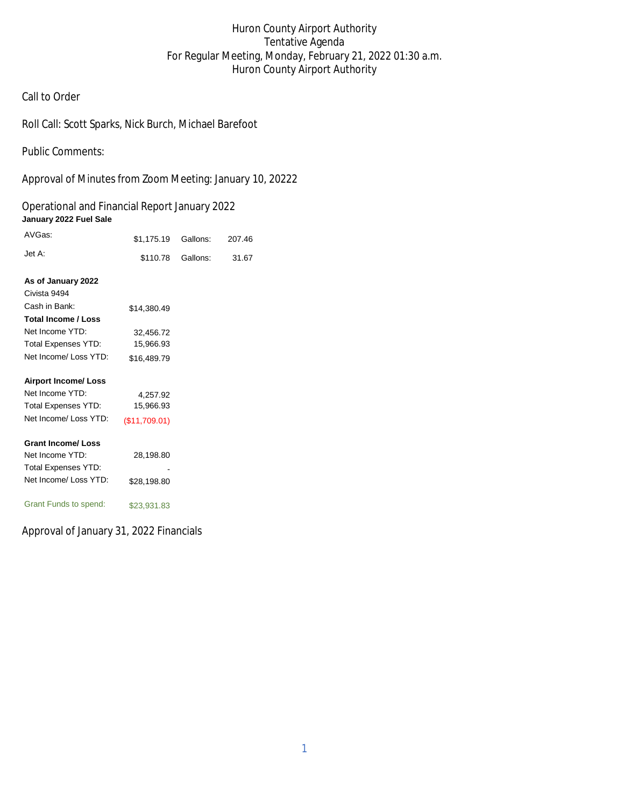# Huron County Airport Authority Tentative Agenda For Regular Meeting, Monday, February 21, 2022 01:30 a.m. Huron County Airport Authority

## Call to Order

Roll Call: Scott Sparks, Nick Burch, Michael Barefoot

Public Comments:

Approval of Minutes from Zoom Meeting: January 10, 20222

## Operational and Financial Report January 2022 **January 2022 Fuel Sale**

| AVGas:                     | \$1,175.19    | Gallons: | 207.46 |
|----------------------------|---------------|----------|--------|
| Jet A:                     | \$110.78      | Gallons: | 31.67  |
|                            |               |          |        |
| As of January 2022         |               |          |        |
| Civista 9494               |               |          |        |
| Cash in Bank:              | \$14,380.49   |          |        |
| <b>Total Income / Loss</b> |               |          |        |
| Net Income YTD:            | 32,456.72     |          |        |
| <b>Total Expenses YTD:</b> | 15,966.93     |          |        |
| Net Income/ Loss YTD:      | \$16,489.79   |          |        |
|                            |               |          |        |
| <b>Airport Income/Loss</b> |               |          |        |
| Net Income YTD:            | 4,257.92      |          |        |
| <b>Total Expenses YTD:</b> | 15,966.93     |          |        |
| Net Income/ Loss YTD:      | (\$11,709.01) |          |        |
| <b>Grant Income/Loss</b>   |               |          |        |
| Net Income YTD:            | 28,198.80     |          |        |
|                            |               |          |        |
| <b>Total Expenses YTD:</b> |               |          |        |
| Net Income/ Loss YTD:      | \$28,198.80   |          |        |
| Grant Funds to spend:      | \$23,931.83   |          |        |

Approval of January 31, 2022 Financials